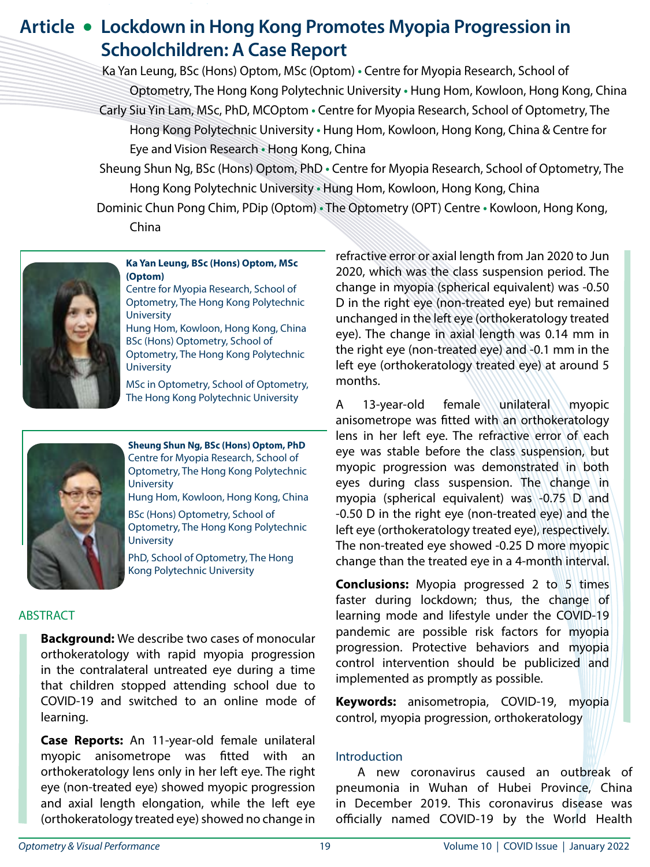# **Article • Lockdown in Hong Kong Promotes Myopia Progression in Schoolchildren: A Case Report**

 Ka Yan Leung, BSc (Hons) Optom, MSc (Optom) **•** Centre for Myopia Research, School of Optometry, The Hong Kong Polytechnic University **•** Hung Hom, Kowloon, Hong Kong, China Carly Siu Yin Lam, MSc, PhD, MCOptom **•** Centre for Myopia Research, School of Optometry, The Hong Kong Polytechnic University **•** Hung Hom, Kowloon, Hong Kong, China & Centre for Eye and Vision Research **•** Hong Kong, China

 Sheung Shun Ng, BSc (Hons) Optom, PhD **•** Centre for Myopia Research, School of Optometry, The Hong Kong Polytechnic University **•** Hung Hom, Kowloon, Hong Kong, China

 Dominic Chun Pong Chim, PDip (Optom) **•** The Optometry (OPT) Centre **•** Kowloon, Hong Kong, China



#### **Ka Yan Leung, BSc (Hons) Optom, MSc (Optom)**

Centre for Myopia Research, School of Optometry, The Hong Kong Polytechnic **University** 

Hung Hom, Kowloon, Hong Kong, China BSc (Hons) Optometry, School of Optometry, The Hong Kong Polytechnic **University** 

MSc in Optometry, School of Optometry, The Hong Kong Polytechnic University



**Sheung Shun Ng, BSc (Hons) Optom, PhD**  Centre for Myopia Research, School of Optometry, The Hong Kong Polytechnic **University** Hung Hom, Kowloon, Hong Kong, China

BSc (Hons) Optometry, School of Optometry, The Hong Kong Polytechnic **University** 

PhD, School of Optometry, The Hong Kong Polytechnic University

## ABSTRACT

**Background:** We describe two cases of monocular orthokeratology with rapid myopia progression in the contralateral untreated eye during a time that children stopped attending school due to COVID-19 and switched to an online mode of learning.

**Case Reports:** An 11-year-old female unilateral myopic anisometrope was fitted with an orthokeratology lens only in her left eye. The right eye (non-treated eye) showed myopic progression and axial length elongation, while the left eye (orthokeratology treated eye) showed no change in

refractive error or axial length from Jan 2020 to Jun 2020, which was the class suspension period. The change in myopia (spherical equivalent) was -0.50 D in the right eye (non-treated eye) but remained unchanged in the left eye (orthokeratology treated eye). The change in axial length was 0.14 mm in the right eye (non-treated eye) and -0.1 mm in the left eye (orthokeratology treated eye) at around 5 months.

A 13-year-old female unilateral myopic anisometrope was fitted with an orthokeratology lens in her left eye. The refractive error of each eye was stable before the class suspension, but myopic progression was demonstrated in both eyes during class suspension. The change in myopia (spherical equivalent) was -0.75 D and -0.50 D in the right eye (non-treated eye) and the left eye (orthokeratology treated eye), respectively. The non-treated eye showed -0.25 D more myopic change than the treated eye in a 4-month interval.

**Conclusions:** Myopia progressed 2 to 5 times faster during lockdown; thus, the change of learning mode and lifestyle under the COVID-19 pandemic are possible risk factors for myopia progression. Protective behaviors and myopia control intervention should be publicized and implemented as promptly as possible.

**Keywords:** anisometropia, COVID-19, myopia control, myopia progression, orthokeratology

## Introduction

A new coronavirus caused an outbreak of pneumonia in Wuhan of Hubei Province, China in December 2019. This coronavirus disease was officially named COVID-19 by the World Health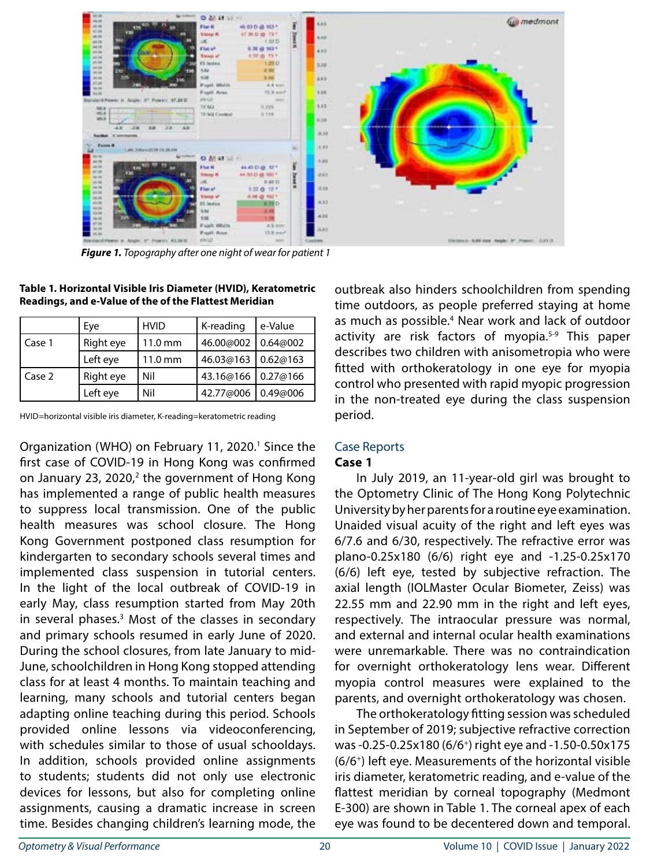

*Figure 1. Topography after one night of wear for patient 1*

|          | Eye       | <b>HVID</b>       | K-reading            | e-Value   |
|----------|-----------|-------------------|----------------------|-----------|
| l Case 1 | Right eye | $11.0 \text{ mm}$ | 46.00@002            | 0.64@002  |
|          | Left eye  | $11.0 \text{ mm}$ | 46.03@163            | 10.62@163 |
| Case 2   | Right eye | Nil               | 43.16@166   0.27@166 |           |
|          | Left eye  | Nil               | 42.77@006            | 0.49@006  |

**Table 1. Horizontal Visible Iris Diameter (HVID), Keratometric Readings, and e-Value of the of the Flattest Meridian**

HVID=horizontal visible iris diameter, K-reading=keratometric reading

Organization (WHO) on February 11, 2020.<sup>1</sup> Since the first case of COVID-19 in Hong Kong was confirmed on January 23, 2020, $2$  the government of Hong Kong has implemented a range of public health measures to suppress local transmission. One of the public health measures was school closure. The Hong Kong Government postponed class resumption for kindergarten to secondary schools several times and implemented class suspension in tutorial centers. In the light of the local outbreak of COVID-19 in early May, class resumption started from May 20th in several phases.<sup>3</sup> Most of the classes in secondary and primary schools resumed in early June of 2020. During the school closures, from late January to mid-June, schoolchildren in Hong Kong stopped attending class for at least 4 months. To maintain teaching and learning, many schools and tutorial centers began adapting online teaching during this period. Schools provided online lessons via videoconferencing, with schedules similar to those of usual schooldays. In addition, schools provided online assignments to students; students did not only use electronic devices for lessons, but also for completing online assignments, causing a dramatic increase in screen time. Besides changing children's learning mode, the

outbreak also hinders schoolchildren from spending time outdoors, as people preferred staying at home as much as possible.<sup>4</sup> Near work and lack of outdoor activity are risk factors of myopia.<sup>5-9</sup> This paper describes two children with anisometropia who were fitted with orthokeratology in one eye for myopia control who presented with rapid myopic progression in the non-treated eye during the class suspension period.

#### Case Reports **Case 1**

In July 2019, an 11-year-old girl was brought to the Optometry Clinic of The Hong Kong Polytechnic University by her parents for a routine eye examination. Unaided visual acuity of the right and left eyes was 6/7.6 and 6/30, respectively. The refractive error was plano-0.25x180 (6/6) right eye and -1.25-0.25x170 (6/6) left eye, tested by subjective refraction. The axial length (IOLMaster Ocular Biometer, Zeiss) was 22.55 mm and 22.90 mm in the right and left eyes, respectively. The intraocular pressure was normal, and external and internal ocular health examinations were unremarkable. There was no contraindication for overnight orthokeratology lens wear. Different myopia control measures were explained to the parents, and overnight orthokeratology was chosen.

The orthokeratology fitting session was scheduled in September of 2019; subjective refractive correction was -0.25-0.25x180 (6/6+) right eye and -1.50-0.50x175 (6/6+) left eye. Measurements of the horizontal visible iris diameter, keratometric reading, and e-value of the flattest meridian by corneal topography (Medmont E-300) are shown in Table 1. The corneal apex of each eye was found to be decentered down and temporal.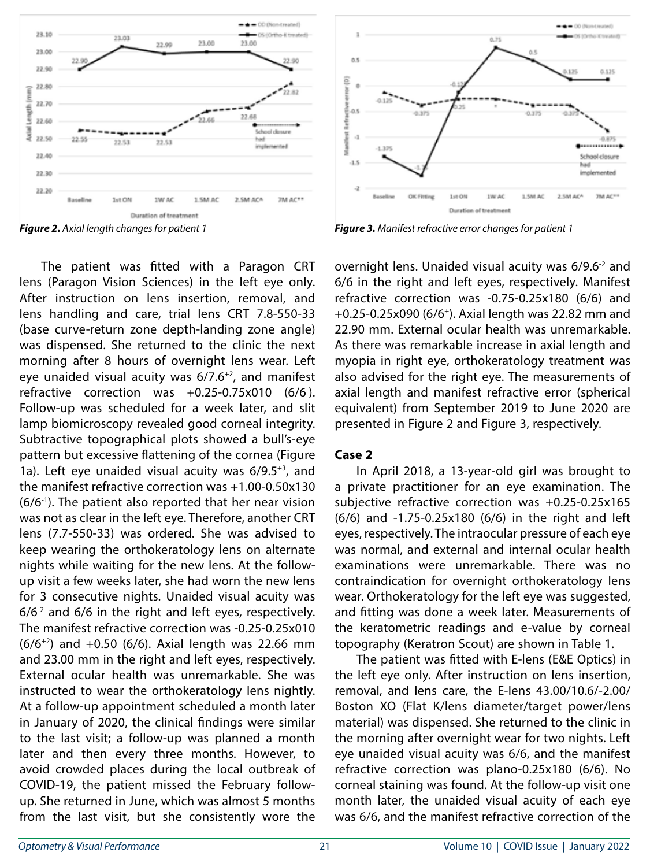

The patient was fitted with a Paragon CRT lens (Paragon Vision Sciences) in the left eye only. After instruction on lens insertion, removal, and lens handling and care, trial lens CRT 7.8-550-33 (base curve-return zone depth-landing zone angle) was dispensed. She returned to the clinic the next morning after 8 hours of overnight lens wear. Left eye unaided visual acuity was  $6/7.6^{+2}$ , and manifest refractive correction was +0.25-0.75x010 (6/6- ). Follow-up was scheduled for a week later, and slit lamp biomicroscopy revealed good corneal integrity. Subtractive topographical plots showed a bull's-eye pattern but excessive flattening of the cornea (Figure 1a). Left eve unaided visual acuity was  $6/9.5^{+3}$ , and the manifest refractive correction was +1.00-0.50x130  $(6/6<sup>-1</sup>)$ . The patient also reported that her near vision was not as clear in the left eye. Therefore, another CRT lens (7.7-550-33) was ordered. She was advised to keep wearing the orthokeratology lens on alternate nights while waiting for the new lens. At the followup visit a few weeks later, she had worn the new lens for 3 consecutive nights. Unaided visual acuity was  $6/6<sup>-2</sup>$  and  $6/6$  in the right and left eyes, respectively. The manifest refractive correction was -0.25-0.25x010  $(6/6^{+2})$  and  $+0.50$  (6/6). Axial length was 22.66 mm and 23.00 mm in the right and left eyes, respectively. External ocular health was unremarkable. She was instructed to wear the orthokeratology lens nightly. At a follow-up appointment scheduled a month later in January of 2020, the clinical findings were similar to the last visit; a follow-up was planned a month later and then every three months. However, to avoid crowded places during the local outbreak of COVID-19, the patient missed the February followup. She returned in June, which was almost 5 months from the last visit, but she consistently wore the



*Figure 2. Axial length changes for patient 1 Figure 3. Manifest refractive error changes for patient 1*

overnight lens. Unaided visual acuity was 6/9.6-2 and 6/6 in the right and left eyes, respectively. Manifest refractive correction was -0.75-0.25x180 (6/6) and +0.25-0.25x090 (6/6+). Axial length was 22.82 mm and 22.90 mm. External ocular health was unremarkable. As there was remarkable increase in axial length and myopia in right eye, orthokeratology treatment was also advised for the right eye. The measurements of axial length and manifest refractive error (spherical equivalent) from September 2019 to June 2020 are presented in Figure 2 and Figure 3, respectively.

#### **Case 2**

In April 2018, a 13-year-old girl was brought to a private practitioner for an eye examination. The subjective refractive correction was +0.25-0.25x165 (6/6) and -1.75-0.25x180 (6/6) in the right and left eyes, respectively. The intraocular pressure of each eye was normal, and external and internal ocular health examinations were unremarkable. There was no contraindication for overnight orthokeratology lens wear. Orthokeratology for the left eye was suggested, and fitting was done a week later. Measurements of the keratometric readings and e-value by corneal topography (Keratron Scout) are shown in Table 1.

The patient was fitted with E-lens (E&E Optics) in the left eye only. After instruction on lens insertion, removal, and lens care, the E-lens 43.00/10.6/-2.00/ Boston XO (Flat K/lens diameter/target power/lens material) was dispensed. She returned to the clinic in the morning after overnight wear for two nights. Left eye unaided visual acuity was 6/6, and the manifest refractive correction was plano-0.25x180 (6/6). No corneal staining was found. At the follow-up visit one month later, the unaided visual acuity of each eye was 6/6, and the manifest refractive correction of the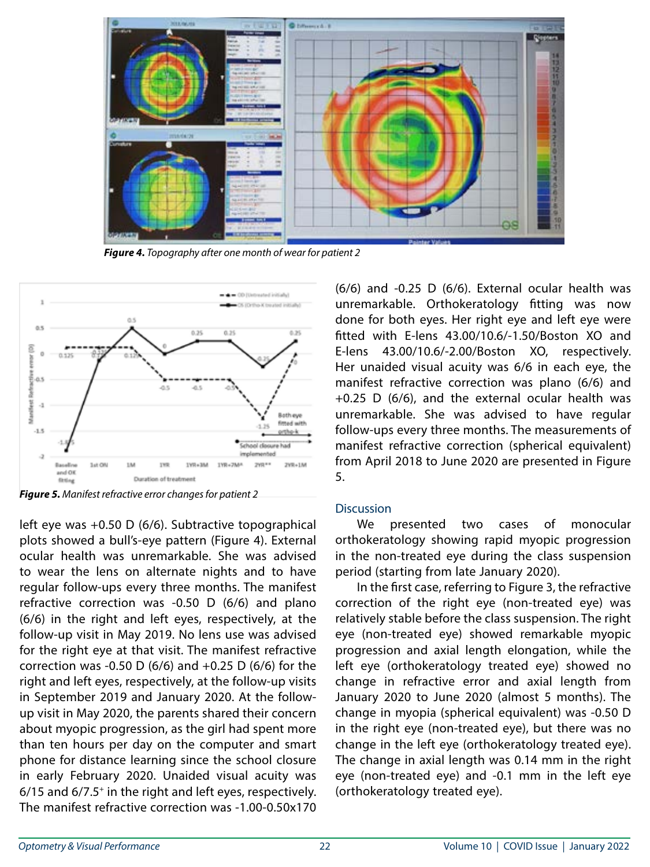

*Figure 4. Topography after one month of wear for patient 2*



*Figure 5. Manifest refractive error changes for patient 2*

left eye was +0.50 D (6/6). Subtractive topographical plots showed a bull's-eye pattern (Figure 4). External ocular health was unremarkable. She was advised to wear the lens on alternate nights and to have regular follow-ups every three months. The manifest refractive correction was -0.50 D (6/6) and plano (6/6) in the right and left eyes, respectively, at the follow-up visit in May 2019. No lens use was advised for the right eye at that visit. The manifest refractive correction was -0.50 D (6/6) and  $+0.25$  D (6/6) for the right and left eyes, respectively, at the follow-up visits in September 2019 and January 2020. At the followup visit in May 2020, the parents shared their concern about myopic progression, as the girl had spent more than ten hours per day on the computer and smart phone for distance learning since the school closure in early February 2020. Unaided visual acuity was 6/15 and 6/7.5+ in the right and left eyes, respectively. The manifest refractive correction was -1.00-0.50x170 (6/6) and -0.25 D (6/6). External ocular health was unremarkable. Orthokeratology fitting was now done for both eyes. Her right eye and left eye were fitted with E-lens 43.00/10.6/-1.50/Boston XO and E-lens 43.00/10.6/-2.00/Boston XO, respectively. Her unaided visual acuity was 6/6 in each eye, the manifest refractive correction was plano (6/6) and +0.25 D (6/6), and the external ocular health was unremarkable. She was advised to have regular follow-ups every three months. The measurements of manifest refractive correction (spherical equivalent) from April 2018 to June 2020 are presented in Figure 5.

## **Discussion**

We presented two cases of monocular orthokeratology showing rapid myopic progression in the non-treated eye during the class suspension period (starting from late January 2020).

In the first case, referring to Figure 3, the refractive correction of the right eye (non-treated eye) was relatively stable before the class suspension. The right eye (non-treated eye) showed remarkable myopic progression and axial length elongation, while the left eye (orthokeratology treated eye) showed no change in refractive error and axial length from January 2020 to June 2020 (almost 5 months). The change in myopia (spherical equivalent) was -0.50 D in the right eye (non-treated eye), but there was no change in the left eye (orthokeratology treated eye). The change in axial length was 0.14 mm in the right eye (non-treated eye) and -0.1 mm in the left eye (orthokeratology treated eye).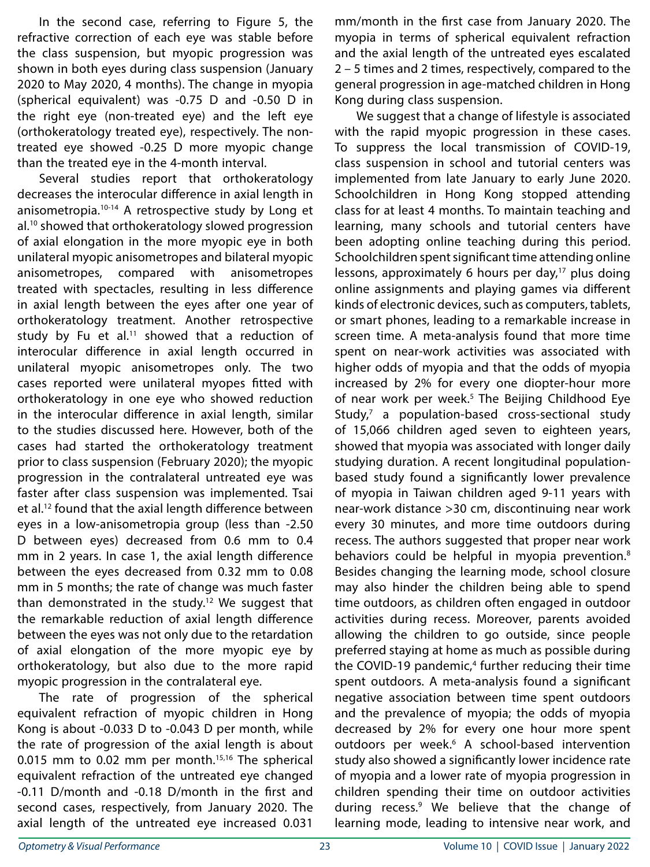In the second case, referring to Figure 5, the refractive correction of each eye was stable before the class suspension, but myopic progression was shown in both eyes during class suspension (January 2020 to May 2020, 4 months). The change in myopia (spherical equivalent) was -0.75 D and -0.50 D in the right eye (non-treated eye) and the left eye (orthokeratology treated eye), respectively. The nontreated eye showed -0.25 D more myopic change than the treated eye in the 4-month interval.

Several studies report that orthokeratology decreases the interocular difference in axial length in anisometropia.<sup>10-14</sup> A retrospective study by Long et al.10 showed that orthokeratology slowed progression of axial elongation in the more myopic eye in both unilateral myopic anisometropes and bilateral myopic anisometropes, compared with anisometropes treated with spectacles, resulting in less difference in axial length between the eyes after one year of orthokeratology treatment. Another retrospective study by Fu et al.<sup>11</sup> showed that a reduction of interocular difference in axial length occurred in unilateral myopic anisometropes only. The two cases reported were unilateral myopes fitted with orthokeratology in one eye who showed reduction in the interocular difference in axial length, similar to the studies discussed here. However, both of the cases had started the orthokeratology treatment prior to class suspension (February 2020); the myopic progression in the contralateral untreated eye was faster after class suspension was implemented. Tsai et al.12 found that the axial length difference between eyes in a low-anisometropia group (less than -2.50 D between eyes) decreased from 0.6 mm to 0.4 mm in 2 years. In case 1, the axial length difference between the eyes decreased from 0.32 mm to 0.08 mm in 5 months; the rate of change was much faster than demonstrated in the study.<sup>12</sup> We suggest that the remarkable reduction of axial length difference between the eyes was not only due to the retardation of axial elongation of the more myopic eye by orthokeratology, but also due to the more rapid myopic progression in the contralateral eye.

The rate of progression of the spherical equivalent refraction of myopic children in Hong Kong is about -0.033 D to -0.043 D per month, while the rate of progression of the axial length is about 0.015 mm to 0.02 mm per month.<sup>15,16</sup> The spherical equivalent refraction of the untreated eye changed -0.11 D/month and -0.18 D/month in the first and second cases, respectively, from January 2020. The axial length of the untreated eye increased 0.031

mm/month in the first case from January 2020. The myopia in terms of spherical equivalent refraction and the axial length of the untreated eyes escalated 2 – 5 times and 2 times, respectively, compared to the general progression in age-matched children in Hong Kong during class suspension.

We suggest that a change of lifestyle is associated with the rapid myopic progression in these cases. To suppress the local transmission of COVID-19, class suspension in school and tutorial centers was implemented from late January to early June 2020. Schoolchildren in Hong Kong stopped attending class for at least 4 months. To maintain teaching and learning, many schools and tutorial centers have been adopting online teaching during this period. Schoolchildren spent significant time attending online lessons, approximately 6 hours per day, $17$  plus doing online assignments and playing games via different kinds of electronic devices, such as computers, tablets, or smart phones, leading to a remarkable increase in screen time. A meta-analysis found that more time spent on near-work activities was associated with higher odds of myopia and that the odds of myopia increased by 2% for every one diopter-hour more of near work per week.<sup>5</sup> The Beijing Childhood Eye Study,<sup>7</sup> a population-based cross-sectional study of 15,066 children aged seven to eighteen years, showed that myopia was associated with longer daily studying duration. A recent longitudinal populationbased study found a significantly lower prevalence of myopia in Taiwan children aged 9-11 years with near-work distance >30 cm, discontinuing near work every 30 minutes, and more time outdoors during recess. The authors suggested that proper near work behaviors could be helpful in myopia prevention.<sup>8</sup> Besides changing the learning mode, school closure may also hinder the children being able to spend time outdoors, as children often engaged in outdoor activities during recess. Moreover, parents avoided allowing the children to go outside, since people preferred staying at home as much as possible during the COVID-19 pandemic,<sup>4</sup> further reducing their time spent outdoors. A meta-analysis found a significant negative association between time spent outdoors and the prevalence of myopia; the odds of myopia decreased by 2% for every one hour more spent outdoors per week.<sup>6</sup> A school-based intervention study also showed a significantly lower incidence rate of myopia and a lower rate of myopia progression in children spending their time on outdoor activities during recess.<sup>9</sup> We believe that the change of learning mode, leading to intensive near work, and